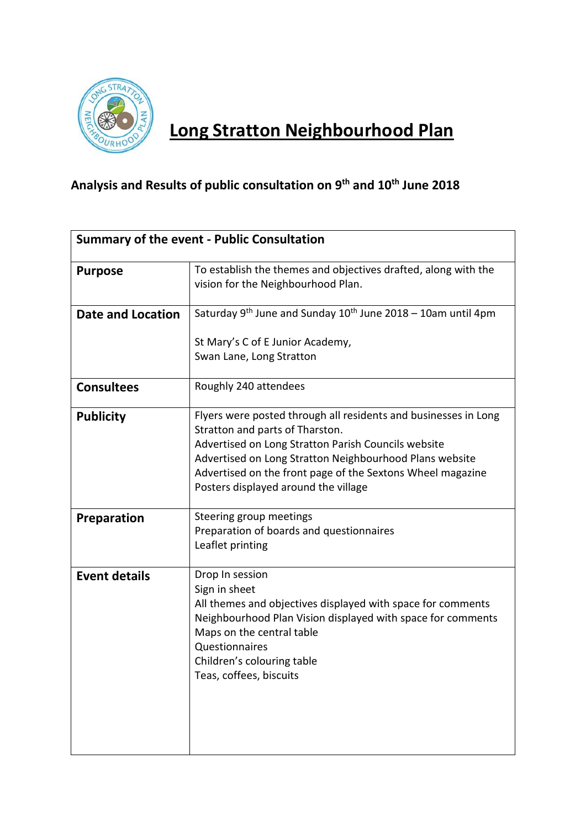

## **Long Stratton Neighbourhood Plan**

## **Analysis and Results of public consultation on 9th and 10th June 2018**

| Summary of the event - Public Consultation |                                                                                                                                                                                                                                                                                                                            |  |  |
|--------------------------------------------|----------------------------------------------------------------------------------------------------------------------------------------------------------------------------------------------------------------------------------------------------------------------------------------------------------------------------|--|--|
| <b>Purpose</b>                             | To establish the themes and objectives drafted, along with the<br>vision for the Neighbourhood Plan.                                                                                                                                                                                                                       |  |  |
| Date and Location                          | Saturday 9 <sup>th</sup> June and Sunday $10^{th}$ June 2018 – 10am until 4pm                                                                                                                                                                                                                                              |  |  |
|                                            | St Mary's C of E Junior Academy,<br>Swan Lane, Long Stratton                                                                                                                                                                                                                                                               |  |  |
| <b>Consultees</b>                          | Roughly 240 attendees                                                                                                                                                                                                                                                                                                      |  |  |
| <b>Publicity</b>                           | Flyers were posted through all residents and businesses in Long<br>Stratton and parts of Tharston.<br>Advertised on Long Stratton Parish Councils website<br>Advertised on Long Stratton Neighbourhood Plans website<br>Advertised on the front page of the Sextons Wheel magazine<br>Posters displayed around the village |  |  |
| <b>Preparation</b>                         | Steering group meetings<br>Preparation of boards and questionnaires<br>Leaflet printing                                                                                                                                                                                                                                    |  |  |
| <b>Event details</b>                       | Drop In session<br>Sign in sheet<br>All themes and objectives displayed with space for comments<br>Neighbourhood Plan Vision displayed with space for comments<br>Maps on the central table<br>Questionnaires<br>Children's colouring table<br>Teas, coffees, biscuits                                                     |  |  |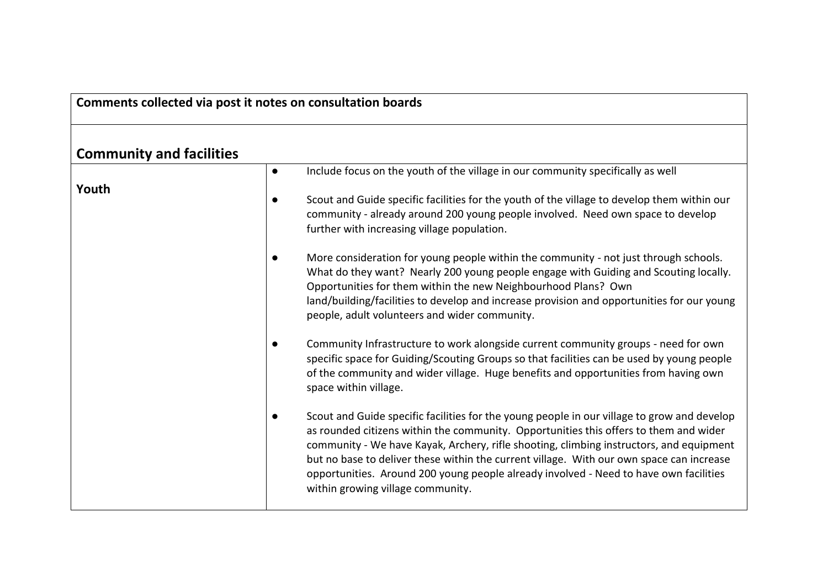## **Comments collected via post it notes on consultation boards**

## **Community and facilities**

| COMMUNISTY AND TACHINGS |           |                                                                                                                                                                                                                                                                                                                                                                                                                                                                                                           |
|-------------------------|-----------|-----------------------------------------------------------------------------------------------------------------------------------------------------------------------------------------------------------------------------------------------------------------------------------------------------------------------------------------------------------------------------------------------------------------------------------------------------------------------------------------------------------|
|                         | $\bullet$ | Include focus on the youth of the village in our community specifically as well                                                                                                                                                                                                                                                                                                                                                                                                                           |
| Youth                   | $\bullet$ | Scout and Guide specific facilities for the youth of the village to develop them within our<br>community - already around 200 young people involved. Need own space to develop<br>further with increasing village population.                                                                                                                                                                                                                                                                             |
|                         | $\bullet$ | More consideration for young people within the community - not just through schools.<br>What do they want? Nearly 200 young people engage with Guiding and Scouting locally.<br>Opportunities for them within the new Neighbourhood Plans? Own<br>land/building/facilities to develop and increase provision and opportunities for our young<br>people, adult volunteers and wider community.                                                                                                             |
|                         | $\bullet$ | Community Infrastructure to work alongside current community groups - need for own<br>specific space for Guiding/Scouting Groups so that facilities can be used by young people<br>of the community and wider village. Huge benefits and opportunities from having own<br>space within village.                                                                                                                                                                                                           |
|                         | $\bullet$ | Scout and Guide specific facilities for the young people in our village to grow and develop<br>as rounded citizens within the community. Opportunities this offers to them and wider<br>community - We have Kayak, Archery, rifle shooting, climbing instructors, and equipment<br>but no base to deliver these within the current village. With our own space can increase<br>opportunities. Around 200 young people already involved - Need to have own facilities<br>within growing village community. |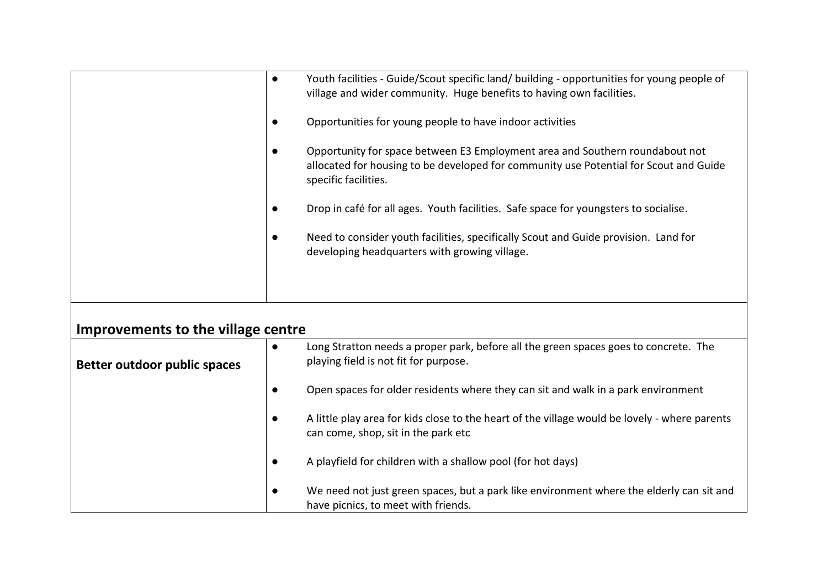|                                    | $\bullet$ | Youth facilities - Guide/Scout specific land/ building - opportunities for young people of<br>village and wider community. Huge benefits to having own facilities.                            |
|------------------------------------|-----------|-----------------------------------------------------------------------------------------------------------------------------------------------------------------------------------------------|
|                                    | $\bullet$ | Opportunities for young people to have indoor activities                                                                                                                                      |
|                                    | $\bullet$ | Opportunity for space between E3 Employment area and Southern roundabout not<br>allocated for housing to be developed for community use Potential for Scout and Guide<br>specific facilities. |
|                                    | $\bullet$ | Drop in café for all ages. Youth facilities. Safe space for youngsters to socialise.                                                                                                          |
|                                    | $\bullet$ | Need to consider youth facilities, specifically Scout and Guide provision. Land for<br>developing headquarters with growing village.                                                          |
|                                    |           |                                                                                                                                                                                               |
| Improvements to the village centre |           |                                                                                                                                                                                               |
| Better outdoor public spaces       | $\bullet$ | Long Stratton needs a proper park, before all the green spaces goes to concrete. The<br>playing field is not fit for purpose.                                                                 |
|                                    | $\bullet$ | Open spaces for older residents where they can sit and walk in a park environment                                                                                                             |
|                                    | $\bullet$ | A little play area for kids close to the heart of the village would be lovely - where parents<br>can come, shop, sit in the park etc                                                          |
|                                    | $\bullet$ | A playfield for children with a shallow pool (for hot days)                                                                                                                                   |
|                                    | $\bullet$ | We need not just green spaces, but a park like environment where the elderly can sit and<br>have picnics, to meet with friends.                                                               |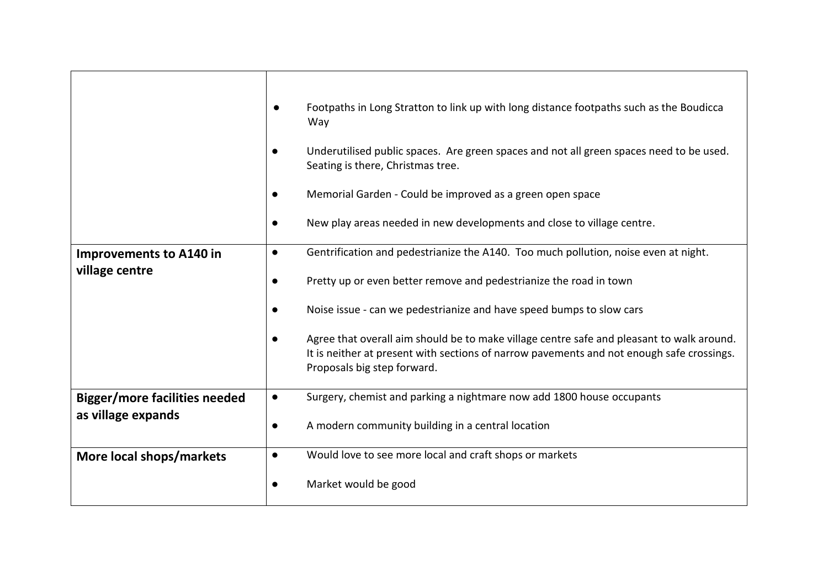|                                                  |           | Footpaths in Long Stratton to link up with long distance footpaths such as the Boudicca<br>Way                                                                                                                        |
|--------------------------------------------------|-----------|-----------------------------------------------------------------------------------------------------------------------------------------------------------------------------------------------------------------------|
|                                                  |           | Underutilised public spaces. Are green spaces and not all green spaces need to be used.<br>Seating is there, Christmas tree.                                                                                          |
|                                                  |           | Memorial Garden - Could be improved as a green open space                                                                                                                                                             |
|                                                  | $\bullet$ | New play areas needed in new developments and close to village centre.                                                                                                                                                |
| <b>Improvements to A140 in</b><br>village centre | $\bullet$ | Gentrification and pedestrianize the A140. Too much pollution, noise even at night.                                                                                                                                   |
|                                                  | $\bullet$ | Pretty up or even better remove and pedestrianize the road in town                                                                                                                                                    |
|                                                  | $\bullet$ | Noise issue - can we pedestrianize and have speed bumps to slow cars                                                                                                                                                  |
|                                                  |           | Agree that overall aim should be to make village centre safe and pleasant to walk around.<br>It is neither at present with sections of narrow pavements and not enough safe crossings.<br>Proposals big step forward. |
| <b>Bigger/more facilities needed</b>             | $\bullet$ | Surgery, chemist and parking a nightmare now add 1800 house occupants                                                                                                                                                 |
| as village expands                               | $\bullet$ | A modern community building in a central location                                                                                                                                                                     |
| More local shops/markets                         | $\bullet$ | Would love to see more local and craft shops or markets                                                                                                                                                               |
|                                                  | $\bullet$ | Market would be good                                                                                                                                                                                                  |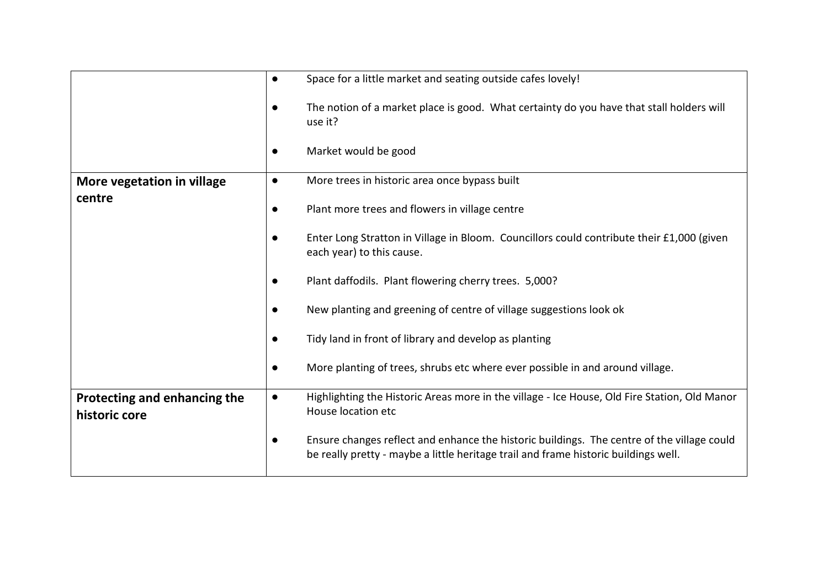|                                               | $\bullet$ | Space for a little market and seating outside cafes lovely!                                                                                                                       |
|-----------------------------------------------|-----------|-----------------------------------------------------------------------------------------------------------------------------------------------------------------------------------|
|                                               |           | The notion of a market place is good. What certainty do you have that stall holders will<br>use it?                                                                               |
|                                               | $\bullet$ | Market would be good                                                                                                                                                              |
| More vegetation in village                    | $\bullet$ | More trees in historic area once bypass built                                                                                                                                     |
| centre                                        |           | Plant more trees and flowers in village centre                                                                                                                                    |
|                                               |           | Enter Long Stratton in Village in Bloom. Councillors could contribute their £1,000 (given<br>each year) to this cause.                                                            |
|                                               |           | Plant daffodils. Plant flowering cherry trees. 5,000?                                                                                                                             |
|                                               |           | New planting and greening of centre of village suggestions look ok                                                                                                                |
|                                               |           | Tidy land in front of library and develop as planting                                                                                                                             |
|                                               |           | More planting of trees, shrubs etc where ever possible in and around village.                                                                                                     |
| Protecting and enhancing the<br>historic core | $\bullet$ | Highlighting the Historic Areas more in the village - Ice House, Old Fire Station, Old Manor<br>House location etc                                                                |
|                                               |           | Ensure changes reflect and enhance the historic buildings. The centre of the village could<br>be really pretty - maybe a little heritage trail and frame historic buildings well. |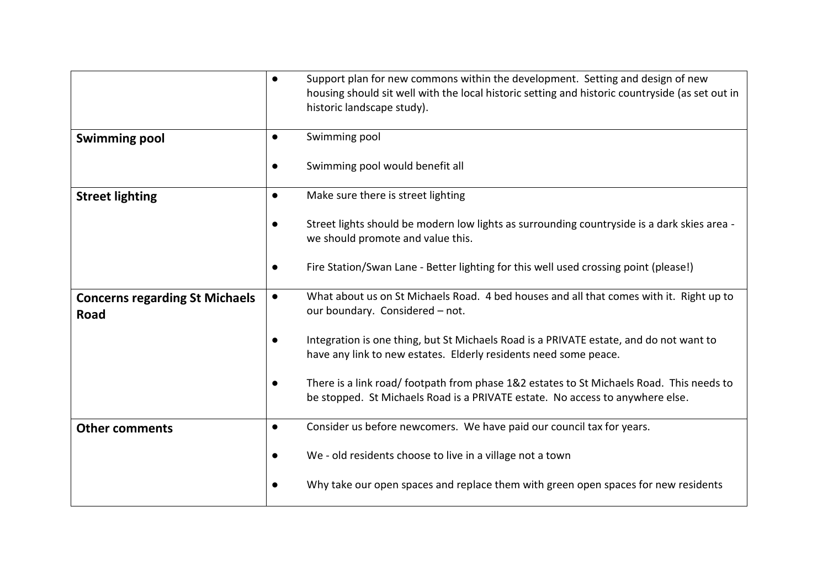|                                               | $\bullet$ | Support plan for new commons within the development. Setting and design of new<br>housing should sit well with the local historic setting and historic countryside (as set out in<br>historic landscape study). |
|-----------------------------------------------|-----------|-----------------------------------------------------------------------------------------------------------------------------------------------------------------------------------------------------------------|
| <b>Swimming pool</b>                          | $\bullet$ | Swimming pool                                                                                                                                                                                                   |
|                                               |           | Swimming pool would benefit all                                                                                                                                                                                 |
| <b>Street lighting</b>                        | $\bullet$ | Make sure there is street lighting                                                                                                                                                                              |
|                                               |           | Street lights should be modern low lights as surrounding countryside is a dark skies area -<br>we should promote and value this.                                                                                |
|                                               |           | Fire Station/Swan Lane - Better lighting for this well used crossing point (please!)                                                                                                                            |
| <b>Concerns regarding St Michaels</b><br>Road | $\bullet$ | What about us on St Michaels Road. 4 bed houses and all that comes with it. Right up to<br>our boundary. Considered - not.                                                                                      |
|                                               |           | Integration is one thing, but St Michaels Road is a PRIVATE estate, and do not want to<br>have any link to new estates. Elderly residents need some peace.                                                      |
|                                               |           | There is a link road/ footpath from phase 1&2 estates to St Michaels Road. This needs to<br>be stopped. St Michaels Road is a PRIVATE estate. No access to anywhere else.                                       |
| <b>Other comments</b>                         | $\bullet$ | Consider us before newcomers. We have paid our council tax for years.                                                                                                                                           |
|                                               | $\bullet$ | We - old residents choose to live in a village not a town                                                                                                                                                       |
|                                               |           | Why take our open spaces and replace them with green open spaces for new residents                                                                                                                              |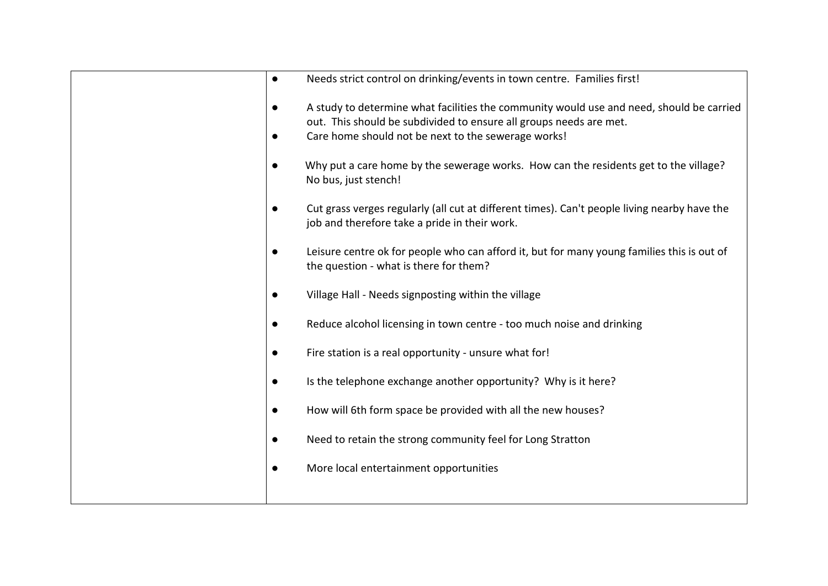| Needs strict control on drinking/events in town centre. Families first!                                                                                                                                               |
|-----------------------------------------------------------------------------------------------------------------------------------------------------------------------------------------------------------------------|
| A study to determine what facilities the community would use and need, should be carried<br>out. This should be subdivided to ensure all groups needs are met.<br>Care home should not be next to the sewerage works! |
| Why put a care home by the sewerage works. How can the residents get to the village?<br>No bus, just stench!                                                                                                          |
| Cut grass verges regularly (all cut at different times). Can't people living nearby have the<br>job and therefore take a pride in their work.                                                                         |
| Leisure centre ok for people who can afford it, but for many young families this is out of<br>the question - what is there for them?                                                                                  |
| Village Hall - Needs signposting within the village                                                                                                                                                                   |
| Reduce alcohol licensing in town centre - too much noise and drinking                                                                                                                                                 |
| Fire station is a real opportunity - unsure what for!                                                                                                                                                                 |
| Is the telephone exchange another opportunity? Why is it here?                                                                                                                                                        |
| How will 6th form space be provided with all the new houses?                                                                                                                                                          |
| Need to retain the strong community feel for Long Stratton                                                                                                                                                            |
| More local entertainment opportunities                                                                                                                                                                                |
|                                                                                                                                                                                                                       |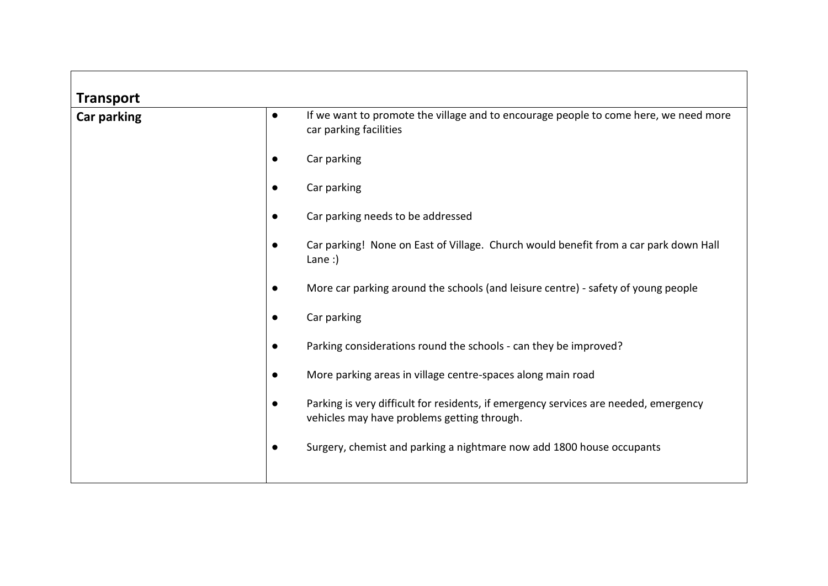| <b>Transport</b>   |           |                                                                                                                                     |
|--------------------|-----------|-------------------------------------------------------------------------------------------------------------------------------------|
| <b>Car parking</b> | $\bullet$ | If we want to promote the village and to encourage people to come here, we need more<br>car parking facilities                      |
|                    | $\bullet$ | Car parking                                                                                                                         |
|                    | $\bullet$ | Car parking                                                                                                                         |
|                    | $\bullet$ | Car parking needs to be addressed                                                                                                   |
|                    | $\bullet$ | Car parking! None on East of Village. Church would benefit from a car park down Hall<br>Lane:                                       |
|                    | $\bullet$ | More car parking around the schools (and leisure centre) - safety of young people                                                   |
|                    | $\bullet$ | Car parking                                                                                                                         |
|                    | $\bullet$ | Parking considerations round the schools - can they be improved?                                                                    |
|                    | $\bullet$ | More parking areas in village centre-spaces along main road                                                                         |
|                    | $\bullet$ | Parking is very difficult for residents, if emergency services are needed, emergency<br>vehicles may have problems getting through. |
|                    | $\bullet$ | Surgery, chemist and parking a nightmare now add 1800 house occupants                                                               |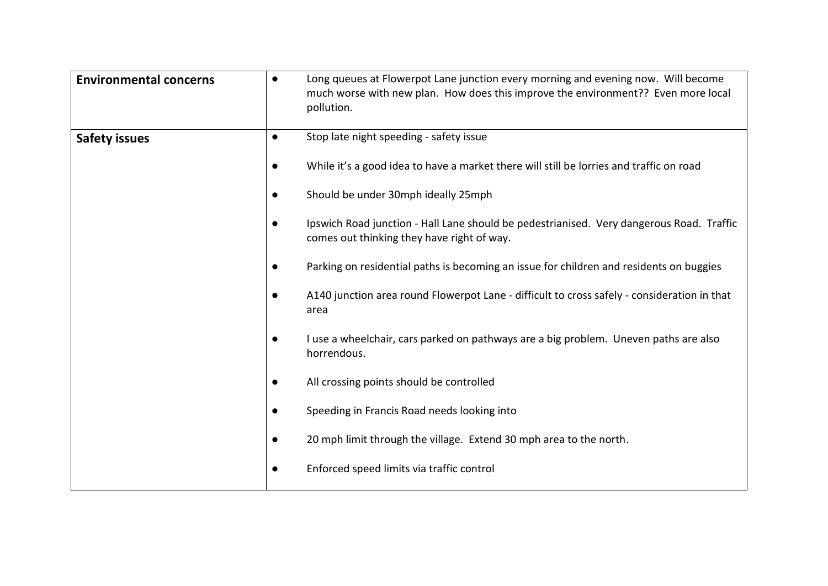| <b>Environmental concerns</b> | $\bullet$ | Long queues at Flowerpot Lane junction every morning and evening now. Will become<br>much worse with new plan. How does this improve the environment?? Even more local<br>pollution. |
|-------------------------------|-----------|--------------------------------------------------------------------------------------------------------------------------------------------------------------------------------------|
| <b>Safety issues</b>          | $\bullet$ | Stop late night speeding - safety issue                                                                                                                                              |
|                               | $\bullet$ | While it's a good idea to have a market there will still be lorries and traffic on road                                                                                              |
|                               | $\bullet$ | Should be under 30mph ideally 25mph                                                                                                                                                  |
|                               | $\bullet$ | Ipswich Road junction - Hall Lane should be pedestrianised. Very dangerous Road. Traffic<br>comes out thinking they have right of way.                                               |
|                               | $\bullet$ | Parking on residential paths is becoming an issue for children and residents on buggies                                                                                              |
|                               | $\bullet$ | A140 junction area round Flowerpot Lane - difficult to cross safely - consideration in that<br>area                                                                                  |
|                               | $\bullet$ | I use a wheelchair, cars parked on pathways are a big problem. Uneven paths are also<br>horrendous.                                                                                  |
|                               | $\bullet$ | All crossing points should be controlled                                                                                                                                             |
|                               | $\bullet$ | Speeding in Francis Road needs looking into                                                                                                                                          |
|                               | $\bullet$ | 20 mph limit through the village. Extend 30 mph area to the north.                                                                                                                   |
|                               | $\bullet$ | Enforced speed limits via traffic control                                                                                                                                            |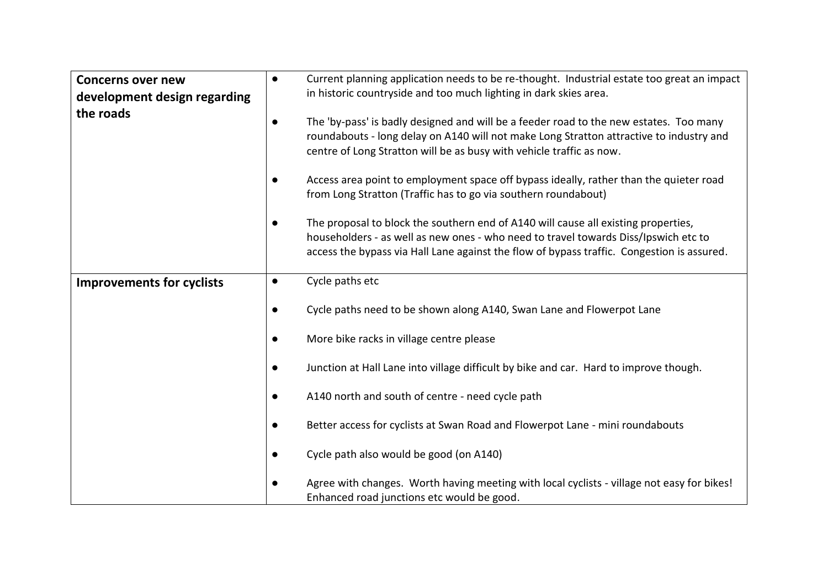| <b>Concerns over new</b><br>development design regarding | $\bullet$ | Current planning application needs to be re-thought. Industrial estate too great an impact<br>in historic countryside and too much lighting in dark skies area.                                                                                                         |
|----------------------------------------------------------|-----------|-------------------------------------------------------------------------------------------------------------------------------------------------------------------------------------------------------------------------------------------------------------------------|
| the roads                                                | $\bullet$ | The 'by-pass' is badly designed and will be a feeder road to the new estates. Too many<br>roundabouts - long delay on A140 will not make Long Stratton attractive to industry and<br>centre of Long Stratton will be as busy with vehicle traffic as now.               |
|                                                          |           | Access area point to employment space off bypass ideally, rather than the quieter road<br>from Long Stratton (Traffic has to go via southern roundabout)                                                                                                                |
|                                                          | $\bullet$ | The proposal to block the southern end of A140 will cause all existing properties,<br>householders - as well as new ones - who need to travel towards Diss/Ipswich etc to<br>access the bypass via Hall Lane against the flow of bypass traffic. Congestion is assured. |
| <b>Improvements for cyclists</b>                         | $\bullet$ | Cycle paths etc                                                                                                                                                                                                                                                         |
|                                                          | $\bullet$ | Cycle paths need to be shown along A140, Swan Lane and Flowerpot Lane                                                                                                                                                                                                   |
|                                                          | $\bullet$ | More bike racks in village centre please                                                                                                                                                                                                                                |
|                                                          | $\bullet$ | Junction at Hall Lane into village difficult by bike and car. Hard to improve though.                                                                                                                                                                                   |
|                                                          | $\bullet$ | A140 north and south of centre - need cycle path                                                                                                                                                                                                                        |
|                                                          | $\bullet$ | Better access for cyclists at Swan Road and Flowerpot Lane - mini roundabouts                                                                                                                                                                                           |
|                                                          | $\bullet$ | Cycle path also would be good (on A140)                                                                                                                                                                                                                                 |
|                                                          | $\bullet$ | Agree with changes. Worth having meeting with local cyclists - village not easy for bikes!<br>Enhanced road junctions etc would be good.                                                                                                                                |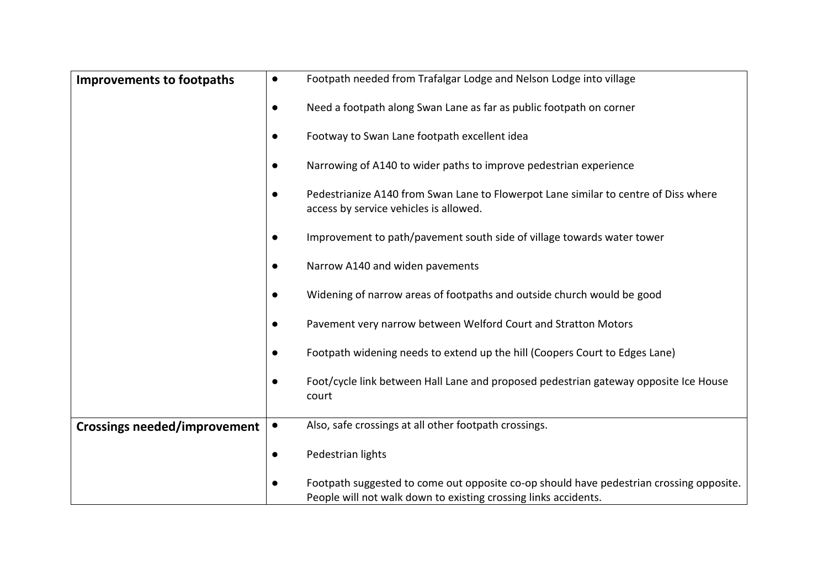| <b>Improvements to footpaths</b>    | $\bullet$ | Footpath needed from Trafalgar Lodge and Nelson Lodge into village                                                                                         |
|-------------------------------------|-----------|------------------------------------------------------------------------------------------------------------------------------------------------------------|
|                                     | $\bullet$ | Need a footpath along Swan Lane as far as public footpath on corner                                                                                        |
|                                     | $\bullet$ | Footway to Swan Lane footpath excellent idea                                                                                                               |
|                                     | $\bullet$ | Narrowing of A140 to wider paths to improve pedestrian experience                                                                                          |
|                                     | $\bullet$ | Pedestrianize A140 from Swan Lane to Flowerpot Lane similar to centre of Diss where<br>access by service vehicles is allowed.                              |
|                                     | $\bullet$ | Improvement to path/pavement south side of village towards water tower                                                                                     |
|                                     |           | Narrow A140 and widen pavements                                                                                                                            |
|                                     |           | Widening of narrow areas of footpaths and outside church would be good                                                                                     |
|                                     | $\bullet$ | Pavement very narrow between Welford Court and Stratton Motors                                                                                             |
|                                     |           | Footpath widening needs to extend up the hill (Coopers Court to Edges Lane)                                                                                |
|                                     | $\bullet$ | Foot/cycle link between Hall Lane and proposed pedestrian gateway opposite Ice House<br>court                                                              |
| <b>Crossings needed/improvement</b> | $\bullet$ | Also, safe crossings at all other footpath crossings.                                                                                                      |
|                                     | $\bullet$ | Pedestrian lights                                                                                                                                          |
|                                     | $\bullet$ | Footpath suggested to come out opposite co-op should have pedestrian crossing opposite.<br>People will not walk down to existing crossing links accidents. |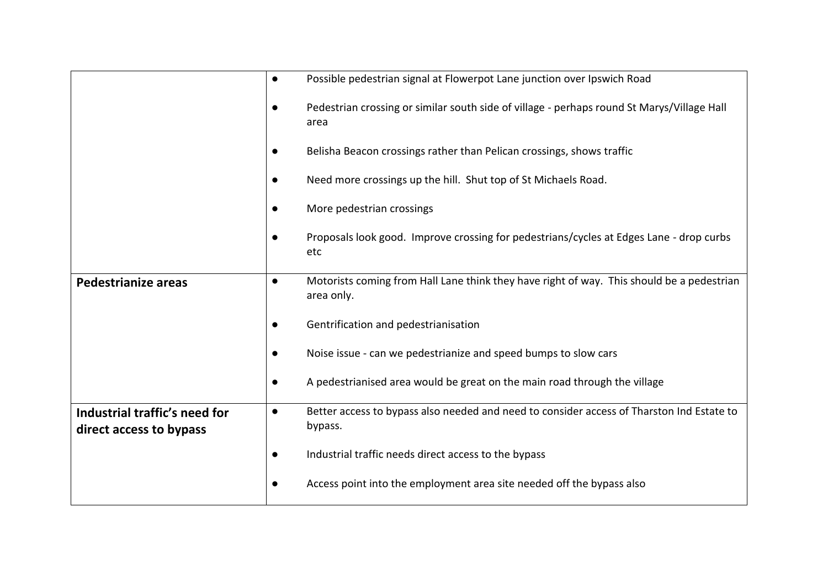|                                                          | $\bullet$ | Possible pedestrian signal at Flowerpot Lane junction over Ipswich Road                                 |
|----------------------------------------------------------|-----------|---------------------------------------------------------------------------------------------------------|
|                                                          | $\bullet$ | Pedestrian crossing or similar south side of village - perhaps round St Marys/Village Hall<br>area      |
|                                                          | $\bullet$ | Belisha Beacon crossings rather than Pelican crossings, shows traffic                                   |
|                                                          | $\bullet$ | Need more crossings up the hill. Shut top of St Michaels Road.                                          |
|                                                          | $\bullet$ | More pedestrian crossings                                                                               |
|                                                          | $\bullet$ | Proposals look good. Improve crossing for pedestrians/cycles at Edges Lane - drop curbs<br>etc          |
| <b>Pedestrianize areas</b>                               | $\bullet$ | Motorists coming from Hall Lane think they have right of way. This should be a pedestrian<br>area only. |
|                                                          | $\bullet$ | Gentrification and pedestrianisation                                                                    |
|                                                          | $\bullet$ | Noise issue - can we pedestrianize and speed bumps to slow cars                                         |
|                                                          | $\bullet$ | A pedestrianised area would be great on the main road through the village                               |
| Industrial traffic's need for<br>direct access to bypass | $\bullet$ | Better access to bypass also needed and need to consider access of Tharston Ind Estate to<br>bypass.    |
|                                                          | $\bullet$ | Industrial traffic needs direct access to the bypass                                                    |
|                                                          | $\bullet$ | Access point into the employment area site needed off the bypass also                                   |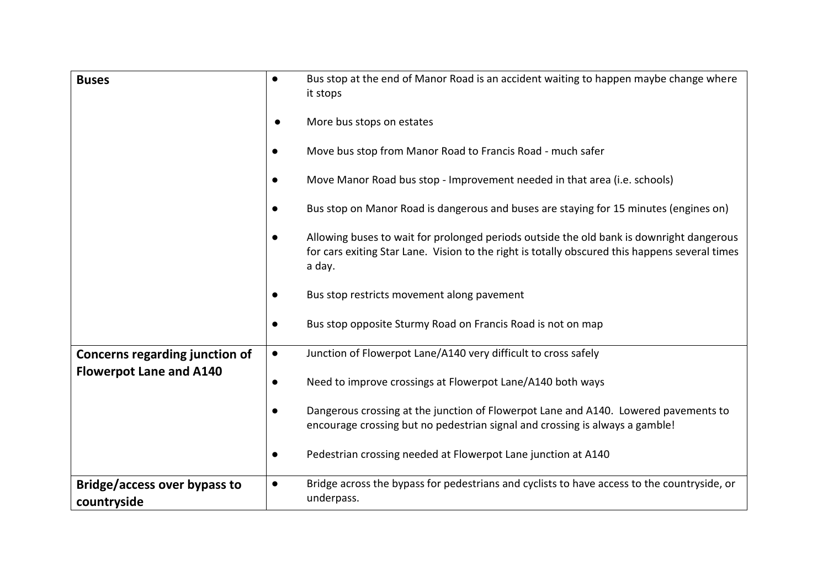| <b>Buses</b>                                       | $\bullet$ | Bus stop at the end of Manor Road is an accident waiting to happen maybe change where<br>it stops                                                                                                    |
|----------------------------------------------------|-----------|------------------------------------------------------------------------------------------------------------------------------------------------------------------------------------------------------|
|                                                    | $\bullet$ | More bus stops on estates                                                                                                                                                                            |
|                                                    | $\bullet$ | Move bus stop from Manor Road to Francis Road - much safer                                                                                                                                           |
|                                                    | $\bullet$ | Move Manor Road bus stop - Improvement needed in that area (i.e. schools)                                                                                                                            |
|                                                    | $\bullet$ | Bus stop on Manor Road is dangerous and buses are staying for 15 minutes (engines on)                                                                                                                |
|                                                    | $\bullet$ | Allowing buses to wait for prolonged periods outside the old bank is downright dangerous<br>for cars exiting Star Lane. Vision to the right is totally obscured this happens several times<br>a day. |
|                                                    | $\bullet$ | Bus stop restricts movement along pavement                                                                                                                                                           |
|                                                    | $\bullet$ | Bus stop opposite Sturmy Road on Francis Road is not on map                                                                                                                                          |
| <b>Concerns regarding junction of</b>              | $\bullet$ | Junction of Flowerpot Lane/A140 very difficult to cross safely                                                                                                                                       |
| <b>Flowerpot Lane and A140</b>                     | $\bullet$ | Need to improve crossings at Flowerpot Lane/A140 both ways                                                                                                                                           |
|                                                    | $\bullet$ | Dangerous crossing at the junction of Flowerpot Lane and A140. Lowered pavements to<br>encourage crossing but no pedestrian signal and crossing is always a gamble!                                  |
|                                                    | $\bullet$ | Pedestrian crossing needed at Flowerpot Lane junction at A140                                                                                                                                        |
| <b>Bridge/access over bypass to</b><br>countryside | $\bullet$ | Bridge across the bypass for pedestrians and cyclists to have access to the countryside, or<br>underpass.                                                                                            |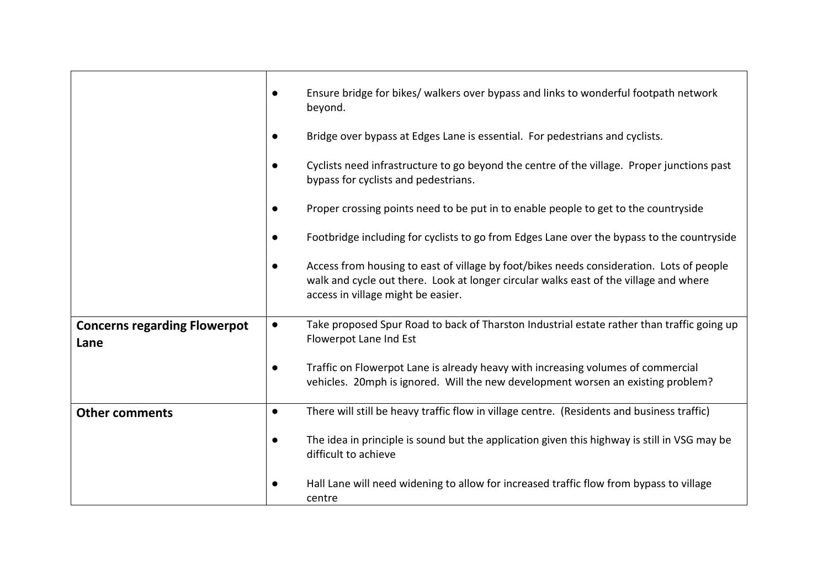|                                             | $\bullet$ | Ensure bridge for bikes/ walkers over bypass and links to wonderful footpath network<br>beyond.                                                                                                                         |
|---------------------------------------------|-----------|-------------------------------------------------------------------------------------------------------------------------------------------------------------------------------------------------------------------------|
|                                             | $\bullet$ | Bridge over bypass at Edges Lane is essential. For pedestrians and cyclists.                                                                                                                                            |
|                                             | $\bullet$ | Cyclists need infrastructure to go beyond the centre of the village. Proper junctions past<br>bypass for cyclists and pedestrians.                                                                                      |
|                                             | $\bullet$ | Proper crossing points need to be put in to enable people to get to the countryside                                                                                                                                     |
|                                             | $\bullet$ | Footbridge including for cyclists to go from Edges Lane over the bypass to the countryside                                                                                                                              |
|                                             | $\bullet$ | Access from housing to east of village by foot/bikes needs consideration. Lots of people<br>walk and cycle out there. Look at longer circular walks east of the village and where<br>access in village might be easier. |
| <b>Concerns regarding Flowerpot</b><br>Lane | $\bullet$ | Take proposed Spur Road to back of Tharston Industrial estate rather than traffic going up<br>Flowerpot Lane Ind Est                                                                                                    |
|                                             | $\bullet$ | Traffic on Flowerpot Lane is already heavy with increasing volumes of commercial<br>vehicles. 20mph is ignored. Will the new development worsen an existing problem?                                                    |
| <b>Other comments</b>                       | $\bullet$ | There will still be heavy traffic flow in village centre. (Residents and business traffic)                                                                                                                              |
|                                             | $\bullet$ | The idea in principle is sound but the application given this highway is still in VSG may be<br>difficult to achieve                                                                                                    |
|                                             | $\bullet$ | Hall Lane will need widening to allow for increased traffic flow from bypass to village<br>centre                                                                                                                       |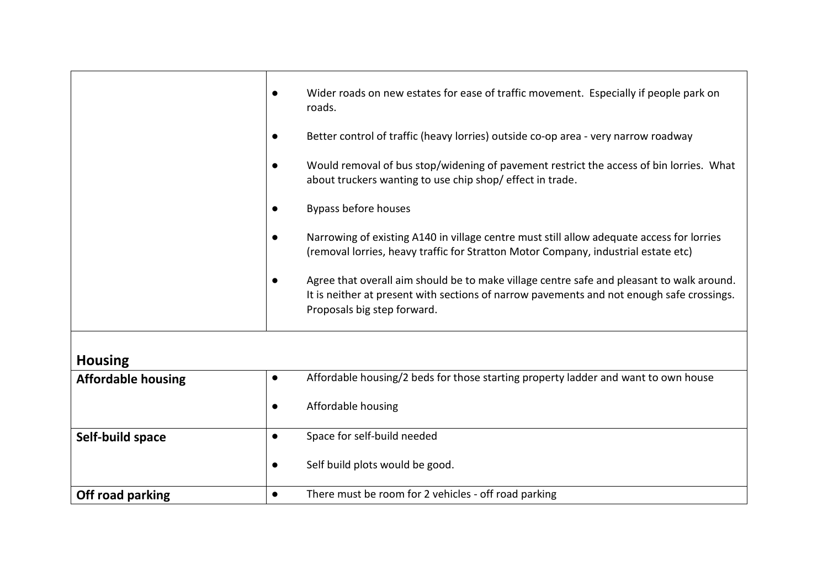|                           | $\bullet$ | Wider roads on new estates for ease of traffic movement. Especially if people park on<br>roads.                                                                                                                       |
|---------------------------|-----------|-----------------------------------------------------------------------------------------------------------------------------------------------------------------------------------------------------------------------|
|                           | $\bullet$ | Better control of traffic (heavy lorries) outside co-op area - very narrow roadway                                                                                                                                    |
|                           | $\bullet$ | Would removal of bus stop/widening of pavement restrict the access of bin lorries. What<br>about truckers wanting to use chip shop/ effect in trade.                                                                  |
|                           | $\bullet$ | Bypass before houses                                                                                                                                                                                                  |
|                           | $\bullet$ | Narrowing of existing A140 in village centre must still allow adequate access for lorries<br>(removal lorries, heavy traffic for Stratton Motor Company, industrial estate etc)                                       |
|                           | $\bullet$ | Agree that overall aim should be to make village centre safe and pleasant to walk around.<br>It is neither at present with sections of narrow pavements and not enough safe crossings.<br>Proposals big step forward. |
|                           |           |                                                                                                                                                                                                                       |
| <b>Housing</b>            |           |                                                                                                                                                                                                                       |
| <b>Affordable housing</b> | $\bullet$ | Affordable housing/2 beds for those starting property ladder and want to own house                                                                                                                                    |

| <b>AITOLUGNIE HUUSHIK</b> |           | Arror dable Housing/ 2 beas for those starting property lauder and want to own house |
|---------------------------|-----------|--------------------------------------------------------------------------------------|
|                           | ٠         | Affordable housing                                                                   |
| Self-build space          |           | Space for self-build needed                                                          |
|                           | $\bullet$ | Self build plots would be good.                                                      |
| Off road parking          |           | There must be room for 2 vehicles - off road parking                                 |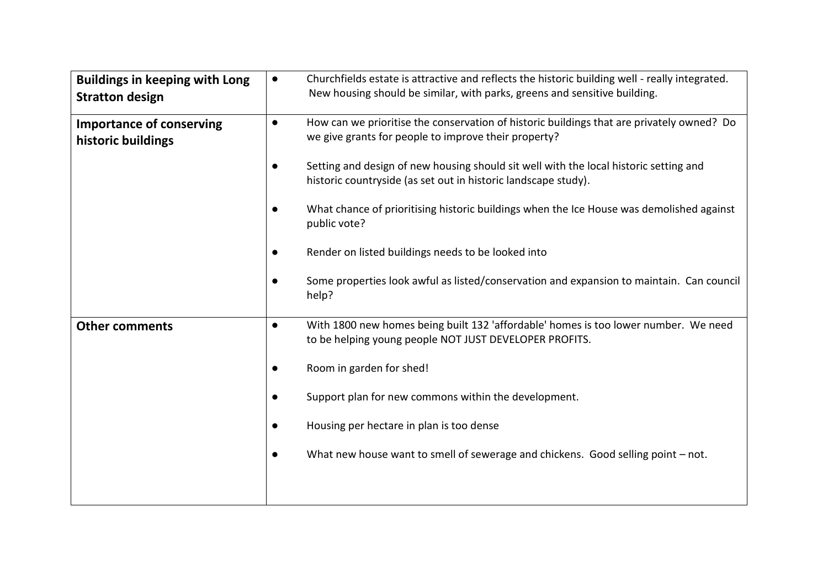| <b>Buildings in keeping with Long</b><br><b>Stratton design</b> | $\bullet$ | Churchfields estate is attractive and reflects the historic building well - really integrated.<br>New housing should be similar, with parks, greens and sensitive building. |
|-----------------------------------------------------------------|-----------|-----------------------------------------------------------------------------------------------------------------------------------------------------------------------------|
| <b>Importance of conserving</b><br>historic buildings           | $\bullet$ | How can we prioritise the conservation of historic buildings that are privately owned? Do<br>we give grants for people to improve their property?                           |
|                                                                 | $\bullet$ | Setting and design of new housing should sit well with the local historic setting and<br>historic countryside (as set out in historic landscape study).                     |
|                                                                 | $\bullet$ | What chance of prioritising historic buildings when the Ice House was demolished against<br>public vote?                                                                    |
|                                                                 | $\bullet$ | Render on listed buildings needs to be looked into                                                                                                                          |
|                                                                 | $\bullet$ | Some properties look awful as listed/conservation and expansion to maintain. Can council<br>help?                                                                           |
| <b>Other comments</b>                                           | $\bullet$ | With 1800 new homes being built 132 'affordable' homes is too lower number. We need<br>to be helping young people NOT JUST DEVELOPER PROFITS.                               |
|                                                                 | $\bullet$ | Room in garden for shed!                                                                                                                                                    |
|                                                                 | $\bullet$ | Support plan for new commons within the development.                                                                                                                        |
|                                                                 | $\bullet$ | Housing per hectare in plan is too dense                                                                                                                                    |
|                                                                 | $\bullet$ | What new house want to smell of sewerage and chickens. Good selling point - not.                                                                                            |
|                                                                 |           |                                                                                                                                                                             |